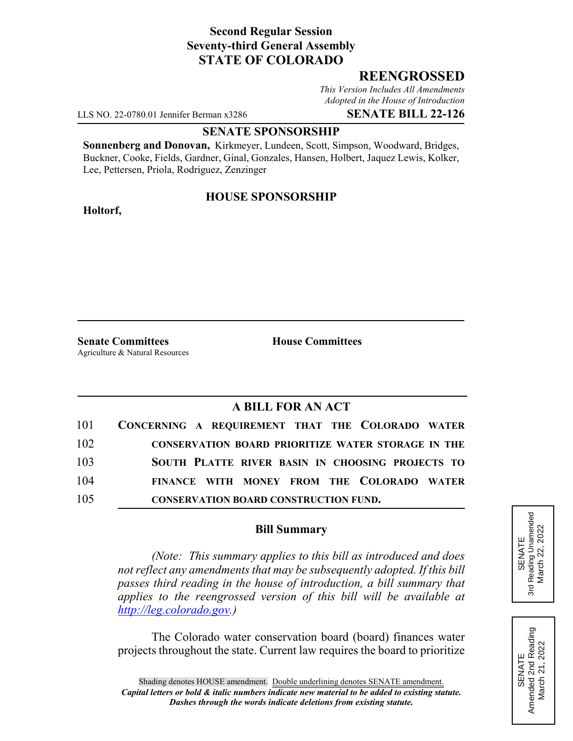# **Second Regular Session Seventy-third General Assembly STATE OF COLORADO**

# **REENGROSSED**

*This Version Includes All Amendments Adopted in the House of Introduction*

LLS NO. 22-0780.01 Jennifer Berman x3286 **SENATE BILL 22-126**

#### **SENATE SPONSORSHIP**

**Sonnenberg and Donovan,** Kirkmeyer, Lundeen, Scott, Simpson, Woodward, Bridges, Buckner, Cooke, Fields, Gardner, Ginal, Gonzales, Hansen, Holbert, Jaquez Lewis, Kolker, Lee, Pettersen, Priola, Rodriguez, Zenzinger

### **HOUSE SPONSORSHIP**

**Holtorf,**

**Senate Committees House Committees** Agriculture & Natural Resources

# **A BILL FOR AN ACT**

|     | 101 CONCERNING A REQUIREMENT THAT THE COLORADO WATER      |
|-----|-----------------------------------------------------------|
| 102 | <b>CONSERVATION BOARD PRIORITIZE WATER STORAGE IN THE</b> |
| 103 | SOUTH PLATTE RIVER BASIN IN CHOOSING PROJECTS TO          |
| 104 | FINANCE WITH MONEY FROM THE COLORADO WATER                |
| 105 | <b>CONSERVATION BOARD CONSTRUCTION FUND.</b>              |

### **Bill Summary**

*(Note: This summary applies to this bill as introduced and does not reflect any amendments that may be subsequently adopted. If this bill passes third reading in the house of introduction, a bill summary that applies to the reengrossed version of this bill will be available at http://leg.colorado.gov.)*

The Colorado water conservation board (board) finances water projects throughout the state. Current law requires the board to prioritize



SENATE<br>Amended 2nd Reading<br>March 21, 2022 Amended 2nd Reading March 21, 2022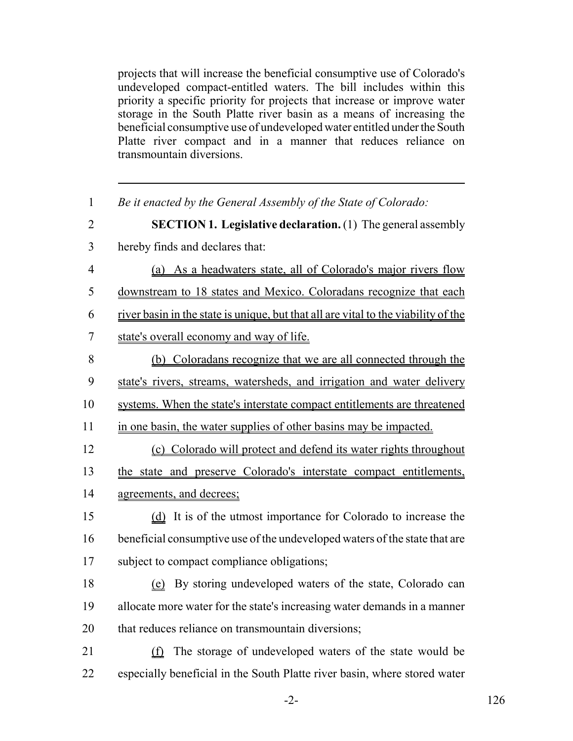projects that will increase the beneficial consumptive use of Colorado's undeveloped compact-entitled waters. The bill includes within this priority a specific priority for projects that increase or improve water storage in the South Platte river basin as a means of increasing the beneficial consumptive use of undeveloped water entitled under the South Platte river compact and in a manner that reduces reliance on transmountain diversions.

| $\mathbf{1}$   | Be it enacted by the General Assembly of the State of Colorado:                    |
|----------------|------------------------------------------------------------------------------------|
| $\overline{2}$ | <b>SECTION 1. Legislative declaration.</b> (1) The general assembly                |
| 3              | hereby finds and declares that:                                                    |
| $\overline{4}$ | (a) As a headwaters state, all of Colorado's major rivers flow                     |
| 5              | downstream to 18 states and Mexico. Coloradans recognize that each                 |
| 6              | river basin in the state is unique, but that all are vital to the viability of the |
| $\overline{7}$ | state's overall economy and way of life.                                           |
| 8              | (b) Coloradans recognize that we are all connected through the                     |
| 9              | state's rivers, streams, watersheds, and irrigation and water delivery             |
| 10             | systems. When the state's interstate compact entitlements are threatened           |
| 11             | in one basin, the water supplies of other basins may be impacted.                  |
| 12             | (c) Colorado will protect and defend its water rights throughout                   |
| 13             | the state and preserve Colorado's interstate compact entitlements,                 |
| 14             | agreements, and decrees;                                                           |
| 15             | (d) It is of the utmost importance for Colorado to increase the                    |
| 16             | beneficial consumptive use of the undeveloped waters of the state that are         |
| 17             | subject to compact compliance obligations;                                         |
| 18             | (e) By storing undeveloped waters of the state, Colorado can                       |
| 19             | allocate more water for the state's increasing water demands in a manner           |
| 20             | that reduces reliance on transmountain diversions;                                 |
| 21             | The storage of undeveloped waters of the state would be<br>(f)                     |
| 22             | especially beneficial in the South Platte river basin, where stored water          |

-2- 126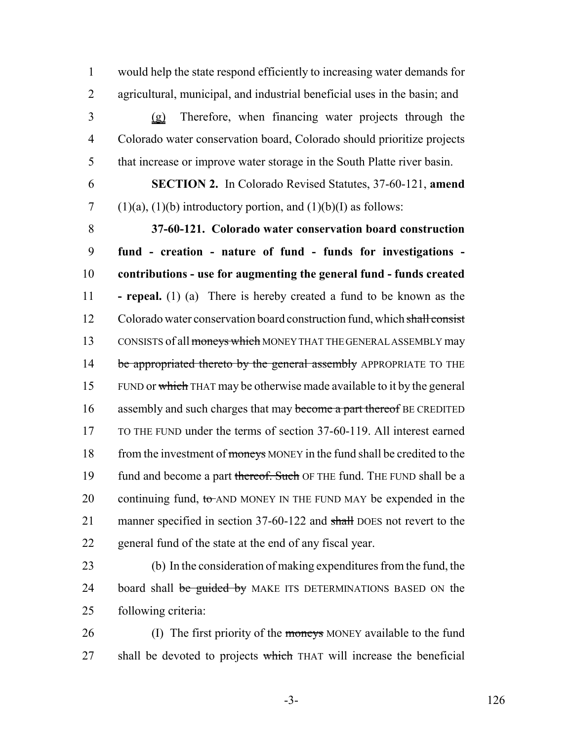1 would help the state respond efficiently to increasing water demands for 2 agricultural, municipal, and industrial beneficial uses in the basin; and

3 (g) Therefore, when financing water projects through the 4 Colorado water conservation board, Colorado should prioritize projects 5 that increase or improve water storage in the South Platte river basin.

6 **SECTION 2.** In Colorado Revised Statutes, 37-60-121, **amend** 7 (1)(a), (1)(b) introductory portion, and (1)(b)(I) as follows:

8 **37-60-121. Colorado water conservation board construction** 9 **fund - creation - nature of fund - funds for investigations -** 10 **contributions - use for augmenting the general fund - funds created** 11 **- repeal.** (1) (a) There is hereby created a fund to be known as the 12 Colorado water conservation board construction fund, which shall consist 13 CONSISTS of all moneys which MONEY THAT THE GENERAL ASSEMBLY may 14 be appropriated thereto by the general assembly APPROPRIATE TO THE 15 FUND or which THAT may be otherwise made available to it by the general 16 assembly and such charges that may become a part thereof BE CREDITED 17 TO THE FUND under the terms of section 37-60-119. All interest earned 18 from the investment of moneys MONEY in the fund shall be credited to the 19 fund and become a part thereof. Such OF THE fund. THE FUND shall be a 20 continuing fund,  $\text{to}$  AND MONEY IN THE FUND MAY be expended in the 21 manner specified in section 37-60-122 and shall DOES not revert to the 22 general fund of the state at the end of any fiscal year.

23 (b) In the consideration of making expenditures from the fund, the 24 board shall be guided by MAKE ITS DETERMINATIONS BASED ON the 25 following criteria:

26 (I) The first priority of the moneys MONEY available to the fund 27 shall be devoted to projects which THAT will increase the beneficial